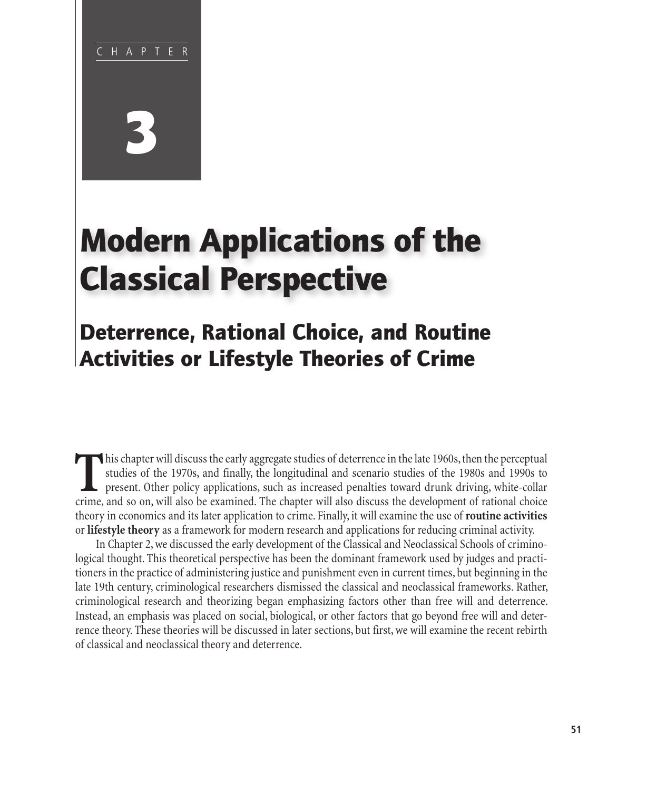# CHAPTER 3

# Modern Applications of the Classical Perspective

# Deterrence, Rational Choice, and Routine Activities or Lifestyle Theories of Crime

This chapter will discuss the early aggregate studies of deterrence in the late 1960s, then the perceptual studies of the 1970s, and finally, the longitudinal and scenario studies of the 1980s and 1990s to present. Other p studies of the 1970s, and finally, the longitudinal and scenario studies of the 1980s and 1990s to present. Other policy applications, such as increased penalties toward drunk driving, white-collar crime, and so on, will also be examined. The chapter will also discuss the development of rational choice theory in economics and its later application to crime. Finally, it will examine the use of **routine activities** or **lifestyle theory** as a framework for modern research and applications for reducing criminal activity.

In Chapter 2, we discussed the early development of the Classical and Neoclassical Schools of criminological thought. This theoretical perspective has been the dominant framework used by judges and practitioners in the practice of administering justice and punishment even in current times, but beginning in the late 19th century, criminological researchers dismissed the classical and neoclassical frameworks. Rather, criminological research and theorizing began emphasizing factors other than free will and deterrence. Instead, an emphasis was placed on social, biological, or other factors that go beyond free will and deterrence theory. These theories will be discussed in later sections, but first, we will examine the recent rebirth of classical and neoclassical theory and deterrence.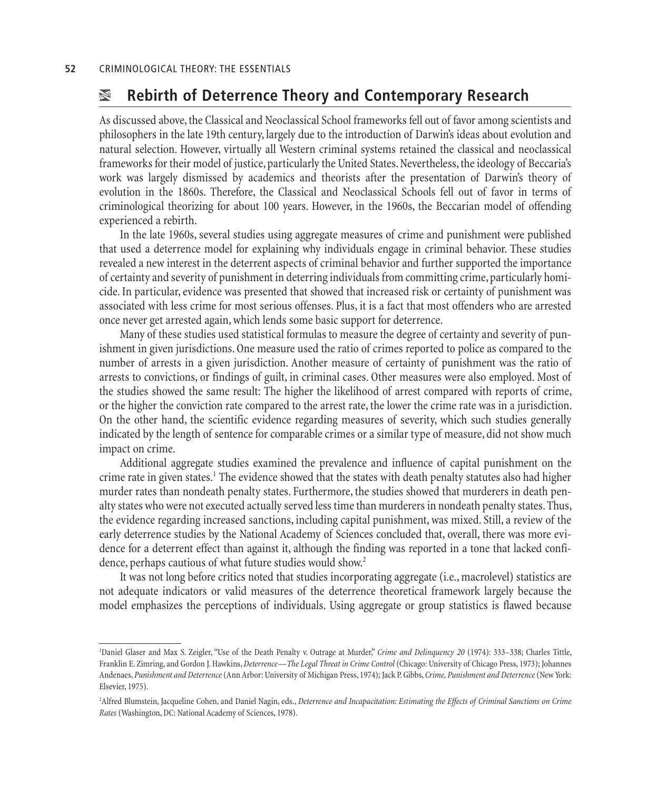#### y **Rebirth of Deterrence Theory and Contemporary Research**

As discussed above, the Classical and Neoclassical School frameworks fell out of favor among scientists and philosophers in the late 19th century, largely due to the introduction of Darwin's ideas about evolution and natural selection. However, virtually all Western criminal systems retained the classical and neoclassical frameworks for their model of justice, particularly the United States. Nevertheless, the ideology of Beccaria's work was largely dismissed by academics and theorists after the presentation of Darwin's theory of evolution in the 1860s. Therefore, the Classical and Neoclassical Schools fell out of favor in terms of criminological theorizing for about 100 years. However, in the 1960s, the Beccarian model of offending experienced a rebirth.

In the late 1960s, several studies using aggregate measures of crime and punishment were published that used a deterrence model for explaining why individuals engage in criminal behavior. These studies revealed a new interest in the deterrent aspects of criminal behavior and further supported the importance of certainty and severity of punishment in deterring individuals from committing crime, particularly homicide. In particular, evidence was presented that showed that increased risk or certainty of punishment was associated with less crime for most serious offenses. Plus, it is a fact that most offenders who are arrested once never get arrested again, which lends some basic support for deterrence.

Many of these studies used statistical formulas to measure the degree of certainty and severity of punishment in given jurisdictions. One measure used the ratio of crimes reported to police as compared to the number of arrests in a given jurisdiction. Another measure of certainty of punishment was the ratio of arrests to convictions, or findings of guilt, in criminal cases. Other measures were also employed. Most of the studies showed the same result: The higher the likelihood of arrest compared with reports of crime, or the higher the conviction rate compared to the arrest rate, the lower the crime rate was in a jurisdiction. On the other hand, the scientific evidence regarding measures of severity, which such studies generally indicated by the length of sentence for comparable crimes or a similar type of measure, did not show much impact on crime.

Additional aggregate studies examined the prevalence and influence of capital punishment on the crime rate in given states.<sup>1</sup> The evidence showed that the states with death penalty statutes also had higher murder rates than nondeath penalty states. Furthermore, the studies showed that murderers in death penalty states who were not executed actually served less time than murderers in nondeath penalty states. Thus, the evidence regarding increased sanctions, including capital punishment, was mixed. Still, a review of the early deterrence studies by the National Academy of Sciences concluded that, overall, there was more evidence for a deterrent effect than against it, although the finding was reported in a tone that lacked confidence, perhaps cautious of what future studies would show.<sup>2</sup>

It was not long before critics noted that studies incorporating aggregate (i.e., macrolevel) statistics are not adequate indicators or valid measures of the deterrence theoretical framework largely because the model emphasizes the perceptions of individuals. Using aggregate or group statistics is flawed because

<sup>&</sup>lt;sup>1</sup>Daniel Glaser and Max S. Zeigler, "Use of the Death Penalty v. Outrage at Murder," Crime and Delinquency 20 (1974): 333-338; Charles Tittle, Franklin E. Zimring, and Gordon J. Hawkins, *Deterrence—The Legal Threat in Crime Control* (Chicago: University of Chicago Press, 1973); Johannes Andenaes, *Punishment and Deterrence* (Ann Arbor: University of Michigan Press, 1974); Jack P. Gibbs, *Crime, Punishment and Deterrence* (New York: Elsevier, 1975).

<sup>&</sup>lt;sup>2</sup> Alfred Blumstein, Jacqueline Cohen, and Daniel Nagin, eds., Deterrence and Incapacitation: Estimating the Effects of Criminal Sanctions on Crime *Rates* (Washington, DC: National Academy of Sciences, 1978).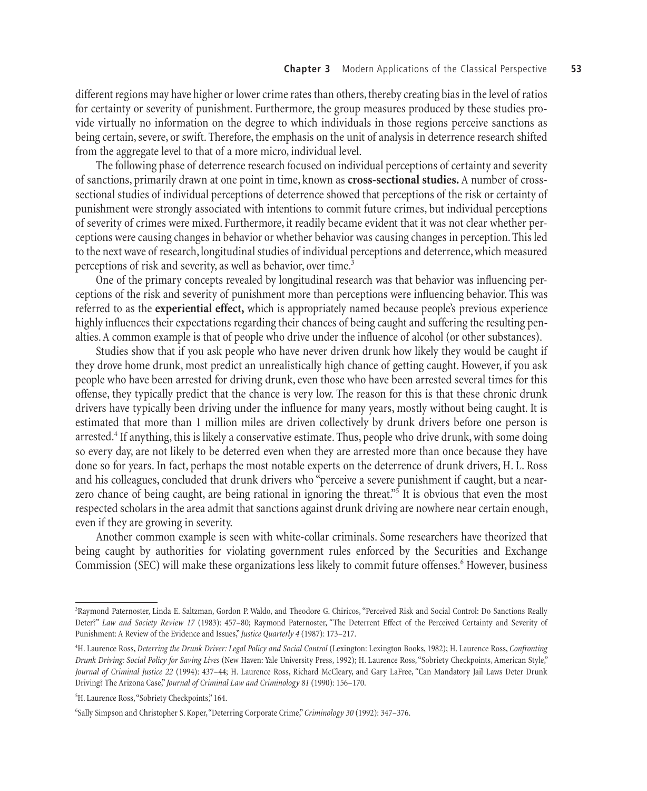different regions may have higher or lower crime rates than others, thereby creating bias in the level of ratios for certainty or severity of punishment. Furthermore, the group measures produced by these studies provide virtually no information on the degree to which individuals in those regions perceive sanctions as being certain, severe, or swift. Therefore, the emphasis on the unit of analysis in deterrence research shifted from the aggregate level to that of a more micro, individual level.

The following phase of deterrence research focused on individual perceptions of certainty and severity of sanctions, primarily drawn at one point in time, known as **cross-sectional studies.** A number of crosssectional studies of individual perceptions of deterrence showed that perceptions of the risk or certainty of punishment were strongly associated with intentions to commit future crimes, but individual perceptions of severity of crimes were mixed. Furthermore, it readily became evident that it was not clear whether perceptions were causing changes in behavior or whether behavior was causing changes in perception. This led to the next wave of research, longitudinal studies of individual perceptions and deterrence, which measured perceptions of risk and severity, as well as behavior, over time.<sup>3</sup>

One of the primary concepts revealed by longitudinal research was that behavior was influencing perceptions of the risk and severity of punishment more than perceptions were influencing behavior. This was referred to as the **experiential effect,** which is appropriately named because people's previous experience highly influences their expectations regarding their chances of being caught and suffering the resulting penalties. A common example is that of people who drive under the influence of alcohol (or other substances).

Studies show that if you ask people who have never driven drunk how likely they would be caught if they drove home drunk, most predict an unrealistically high chance of getting caught. However, if you ask people who have been arrested for driving drunk, even those who have been arrested several times for this offense, they typically predict that the chance is very low. The reason for this is that these chronic drunk drivers have typically been driving under the influence for many years, mostly without being caught. It is estimated that more than 1 million miles are driven collectively by drunk drivers before one person is arrested.<sup>4</sup> If anything, this is likely a conservative estimate. Thus, people who drive drunk, with some doing so every day, are not likely to be deterred even when they are arrested more than once because they have done so for years. In fact, perhaps the most notable experts on the deterrence of drunk drivers, H. L. Ross and his colleagues, concluded that drunk drivers who "perceive a severe punishment if caught, but a nearzero chance of being caught, are being rational in ignoring the threat."<sup>5</sup> It is obvious that even the most respected scholars in the area admit that sanctions against drunk driving are nowhere near certain enough, even if they are growing in severity.

Another common example is seen with white-collar criminals. Some researchers have theorized that being caught by authorities for violating government rules enforced by the Securities and Exchange Commission (SEC) will make these organizations less likely to commit future offenses.<sup>6</sup> However, business

<sup>3</sup> Raymond Paternoster, Linda E. Saltzman, Gordon P. Waldo, and Theodore G. Chiricos, "Perceived Risk and Social Control: Do Sanctions Really Deter?" *Law and Society Review 17* (1983): 457–80; Raymond Paternoster, "The Deterrent Effect of the Perceived Certainty and Severity of Punishment: A Review of the Evidence and Issues," *Justice Quarterly 4* (1987): 173–217.

<sup>4</sup> H. Laurence Ross, *Deterring the Drunk Driver: Legal Policy and Social Control* (Lexington: Lexington Books, 1982); H. Laurence Ross, *Confronting Drunk Driving: Social Policy for Saving Lives* (New Haven: Yale University Press, 1992); H. Laurence Ross, "Sobriety Checkpoints, American Style," *Journal of Criminal Justice 22* (1994): 437–44; H. Laurence Ross, Richard McCleary, and Gary LaFree, "Can Mandatory Jail Laws Deter Drunk Driving? The Arizona Case," *Journal of Criminal Law and Criminology 81* (1990): 156–170.

<sup>5</sup> H. Laurence Ross, "Sobriety Checkpoints," 164.

<sup>6</sup> Sally Simpson and Christopher S. Koper, "Deterring Corporate Crime," *Criminology 30* (1992): 347–376.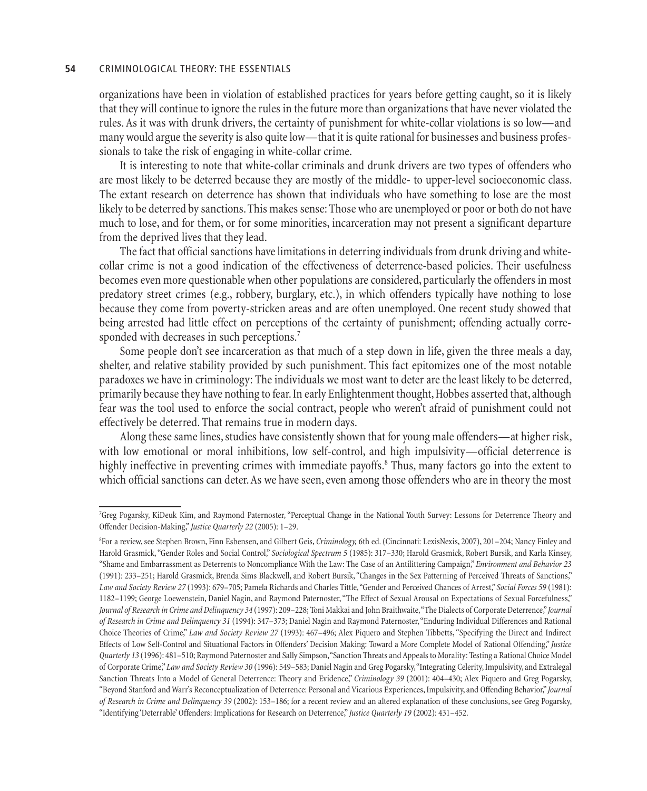organizations have been in violation of established practices for years before getting caught, so it is likely that they will continue to ignore the rules in the future more than organizations that have never violated the rules. As it was with drunk drivers, the certainty of punishment for white-collar violations is so low—and many would argue the severity is also quite low—that it is quite rational for businesses and business professionals to take the risk of engaging in white-collar crime.

It is interesting to note that white-collar criminals and drunk drivers are two types of offenders who are most likely to be deterred because they are mostly of the middle- to upper-level socioeconomic class. The extant research on deterrence has shown that individuals who have something to lose are the most likely to be deterred by sanctions. This makes sense: Those who are unemployed or poor or both do not have much to lose, and for them, or for some minorities, incarceration may not present a significant departure from the deprived lives that they lead.

The fact that official sanctions have limitations in deterring individuals from drunk driving and whitecollar crime is not a good indication of the effectiveness of deterrence-based policies. Their usefulness becomes even more questionable when other populations are considered, particularly the offenders in most predatory street crimes (e.g., robbery, burglary, etc.), in which offenders typically have nothing to lose because they come from poverty-stricken areas and are often unemployed. One recent study showed that being arrested had little effect on perceptions of the certainty of punishment; offending actually corresponded with decreases in such perceptions.<sup>7</sup>

Some people don't see incarceration as that much of a step down in life, given the three meals a day, shelter, and relative stability provided by such punishment. This fact epitomizes one of the most notable paradoxes we have in criminology: The individuals we most want to deter are the least likely to be deterred, primarily because they have nothing to fear. In early Enlightenment thought, Hobbes asserted that, although fear was the tool used to enforce the social contract, people who weren't afraid of punishment could not effectively be deterred. That remains true in modern days.

Along these same lines, studies have consistently shown that for young male offenders—at higher risk, with low emotional or moral inhibitions, low self-control, and high impulsivity—official deterrence is highly ineffective in preventing crimes with immediate payoffs.<sup>8</sup> Thus, many factors go into the extent to which official sanctions can deter. As we have seen, even among those offenders who are in theory the most

<sup>7</sup> Greg Pogarsky, KiDeuk Kim, and Raymond Paternoster, "Perceptual Change in the National Youth Survey: Lessons for Deterrence Theory and Offender Decision-Making," *Justice Quarterly 22* (2005): 1–29.

<sup>8</sup> For a review, see Stephen Brown, Finn Esbensen, and Gilbert Geis, *Criminology,* 6th ed. (Cincinnati: LexisNexis, 2007), 201–204; Nancy Finley and Harold Grasmick, "Gender Roles and Social Control," *Sociological Spectrum 5* (1985): 317–330; Harold Grasmick, Robert Bursik, and Karla Kinsey, "Shame and Embarrassment as Deterrents to Noncompliance With the Law: The Case of an Antilittering Campaign," *Environment and Behavior 23* (1991): 233–251; Harold Grasmick, Brenda Sims Blackwell, and Robert Bursik, "Changes in the Sex Patterning of Perceived Threats of Sanctions," *Law and Society Review 27* (1993): 679–705; Pamela Richards and Charles Tittle, "Gender and Perceived Chances of Arrest," *Social Forces 59* (1981): 1182–1199; George Loewenstein, Daniel Nagin, and Raymond Paternoster, "The Effect of Sexual Arousal on Expectations of Sexual Forcefulness," *Journal of Research in Crime and Delinquency 34* (1997): 209–228; Toni Makkai and John Braithwaite, "The Dialects of Corporate Deterrence," *Journal of Research in Crime and Delinquency 31* (1994): 347–373; Daniel Nagin and Raymond Paternoster, "Enduring Individual Differences and Rational Choice Theories of Crime," *Law and Society Review 27* (1993): 467–496; Alex Piquero and Stephen Tibbetts, "Specifying the Direct and Indirect Effects of Low Self-Control and Situational Factors in Offenders' Decision Making: Toward a More Complete Model of Rational Offending," *Justice Quarterly 13* (1996): 481–510; Raymond Paternoster and Sally Simpson, "Sanction Threats and Appeals to Morality: Testing a Rational Choice Model of Corporate Crime," *Law and Society Review 30* (1996): 549–583; Daniel Nagin and Greg Pogarsky, "Integrating Celerity, Impulsivity, and Extralegal Sanction Threats Into a Model of General Deterrence: Theory and Evidence," *Criminology 39* (2001): 404–430; Alex Piquero and Greg Pogarsky, "Beyond Stanford and Warr's Reconceptualization of Deterrence: Personal and Vicarious Experiences, Impulsivity, and Offending Behavior," *Journal of Research in Crime and Delinquency 39* (2002): 153–186; for a recent review and an altered explanation of these conclusions, see Greg Pogarsky, "Identifying 'Deterrable' Offenders: Implications for Research on Deterrence," *Justice Quarterly 19* (2002): 431–452.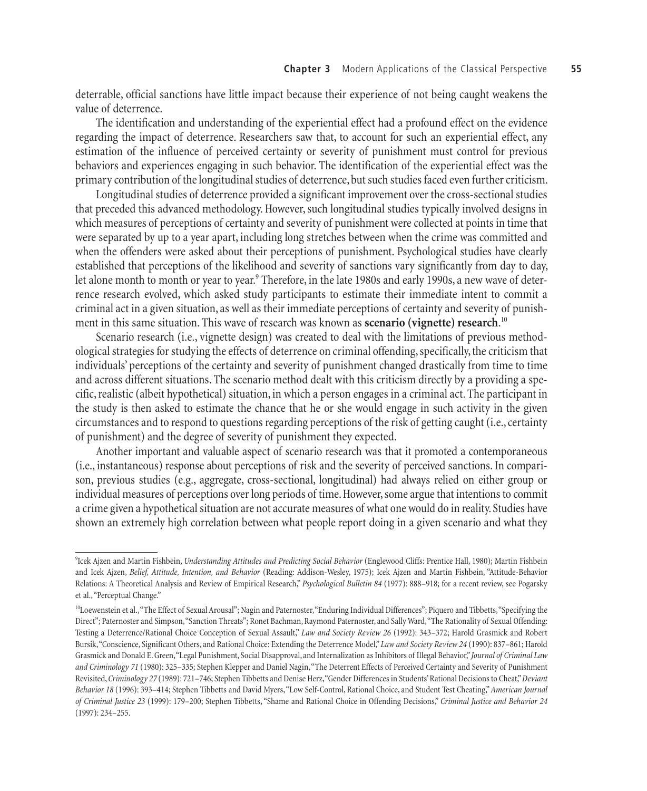deterrable, official sanctions have little impact because their experience of not being caught weakens the value of deterrence.

The identification and understanding of the experiential effect had a profound effect on the evidence regarding the impact of deterrence. Researchers saw that, to account for such an experiential effect, any estimation of the influence of perceived certainty or severity of punishment must control for previous behaviors and experiences engaging in such behavior. The identification of the experiential effect was the primary contribution of the longitudinal studies of deterrence, but such studies faced even further criticism.

Longitudinal studies of deterrence provided a significant improvement over the cross-sectional studies that preceded this advanced methodology. However, such longitudinal studies typically involved designs in which measures of perceptions of certainty and severity of punishment were collected at points in time that were separated by up to a year apart, including long stretches between when the crime was committed and when the offenders were asked about their perceptions of punishment. Psychological studies have clearly established that perceptions of the likelihood and severity of sanctions vary significantly from day to day, let alone month to month or year to year.<sup>9</sup> Therefore, in the late 1980s and early 1990s, a new wave of deterrence research evolved, which asked study participants to estimate their immediate intent to commit a criminal act in a given situation, as well as their immediate perceptions of certainty and severity of punishment in this same situation. This wave of research was known as **scenario (vignette) research**. 10

Scenario research (i.e., vignette design) was created to deal with the limitations of previous methodological strategies for studying the effects of deterrence on criminal offending, specifically, the criticism that individuals' perceptions of the certainty and severity of punishment changed drastically from time to time and across different situations. The scenario method dealt with this criticism directly by a providing a specific, realistic (albeit hypothetical) situation, in which a person engages in a criminal act. The participant in the study is then asked to estimate the chance that he or she would engage in such activity in the given circumstances and to respond to questions regarding perceptions of the risk of getting caught (i.e., certainty of punishment) and the degree of severity of punishment they expected.

Another important and valuable aspect of scenario research was that it promoted a contemporaneous (i.e., instantaneous) response about perceptions of risk and the severity of perceived sanctions. In comparison, previous studies (e.g., aggregate, cross-sectional, longitudinal) had always relied on either group or individual measures of perceptions over long periods of time. However, some argue that intentions to commit a crime given a hypothetical situation are not accurate measures of what one would do in reality. Studies have shown an extremely high correlation between what people report doing in a given scenario and what they

<sup>&</sup>lt;sup>9</sup>Icek Ajzen and Martin Fishbein, Understanding Attitudes and Predicting Social Behavior (Englewood Cliffs: Prentice Hall, 1980); Martin Fishbein and Icek Ajzen, *Belief, Attitude, Intention, and Behavior* (Reading: Addison-Wesley, 1975); Icek Ajzen and Martin Fishbein, "Attitude-Behavior Relations: A Theoretical Analysis and Review of Empirical Research," *Psychological Bulletin 84* (1977): 888–918; for a recent review, see Pogarsky et al., "Perceptual Change."

<sup>&</sup>lt;sup>10</sup>Loewenstein et al., "The Effect of Sexual Arousal"; Nagin and Paternoster, "Enduring Individual Differences"; Piquero and Tibbetts, "Specifying the Direct"; Paternoster and Simpson, "Sanction Threats"; Ronet Bachman, Raymond Paternoster, and Sally Ward, "The Rationality of Sexual Offending: Testing a Deterrence/Rational Choice Conception of Sexual Assault," *Law and Society Review 26* (1992): 343–372; Harold Grasmick and Robert Bursik, "Conscience, Significant Others, and Rational Choice: Extending the Deterrence Model," *Law and Society Review 24* (1990): 837–861; Harold Grasmick and Donald E. Green, "Legal Punishment, Social Disapproval, and Internalization as Inhibitors of Illegal Behavior," *Journal of Criminal Law and Criminology 71* (1980): 325–335; Stephen Klepper and Daniel Nagin, "The Deterrent Effects of Perceived Certainty and Severity of Punishment Revisited, *Criminology 27* (1989): 721–746; Stephen Tibbetts and Denise Herz, "Gender Differences in Students' Rational Decisions to Cheat," *Deviant Behavior 18* (1996): 393–414; Stephen Tibbetts and David Myers, "Low Self-Control, Rational Choice, and Student Test Cheating," *American Journal of Criminal Justice 23* (1999): 179–200; Stephen Tibbetts, "Shame and Rational Choice in Offending Decisions," *Criminal Justice and Behavior 24* (1997): 234–255.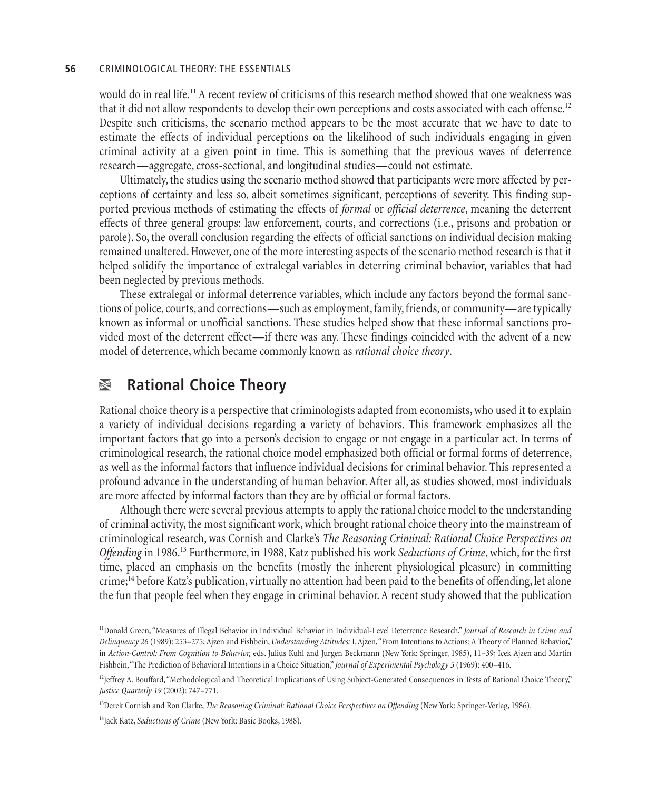would do in real life.<sup>11</sup> A recent review of criticisms of this research method showed that one weakness was that it did not allow respondents to develop their own perceptions and costs associated with each offense.<sup>12</sup> Despite such criticisms, the scenario method appears to be the most accurate that we have to date to estimate the effects of individual perceptions on the likelihood of such individuals engaging in given criminal activity at a given point in time. This is something that the previous waves of deterrence research—aggregate, cross-sectional, and longitudinal studies—could not estimate.

Ultimately, the studies using the scenario method showed that participants were more affected by perceptions of certainty and less so, albeit sometimes significant, perceptions of severity. This finding supported previous methods of estimating the effects of *formal* or *official deterrence*, meaning the deterrent effects of three general groups: law enforcement, courts, and corrections (i.e., prisons and probation or parole). So, the overall conclusion regarding the effects of official sanctions on individual decision making remained unaltered. However, one of the more interesting aspects of the scenario method research is that it helped solidify the importance of extralegal variables in deterring criminal behavior, variables that had been neglected by previous methods.

These extralegal or informal deterrence variables, which include any factors beyond the formal sanctions of police, courts, and corrections—such as employment, family, friends, or community—are typically known as informal or unofficial sanctions. These studies helped show that these informal sanctions provided most of the deterrent effect—if there was any. These findings coincided with the advent of a new model of deterrence, which became commonly known as *rational choice theory*.

### y **Rational Choice Theory**

Rational choice theory is a perspective that criminologists adapted from economists, who used it to explain a variety of individual decisions regarding a variety of behaviors. This framework emphasizes all the important factors that go into a person's decision to engage or not engage in a particular act. In terms of criminological research, the rational choice model emphasized both official or formal forms of deterrence, as well as the informal factors that influence individual decisions for criminal behavior. This represented a profound advance in the understanding of human behavior. After all, as studies showed, most individuals are more affected by informal factors than they are by official or formal factors.

Although there were several previous attempts to apply the rational choice model to the understanding of criminal activity, the most significant work, which brought rational choice theory into the mainstream of criminological research, was Cornish and Clarke's *The Reasoning Criminal: Rational Choice Perspectives on Offending* in 1986.13 Furthermore, in 1988, Katz published his work *Seductions of Crime*, which, for the first time, placed an emphasis on the benefits (mostly the inherent physiological pleasure) in committing crime;<sup>14</sup> before Katz's publication, virtually no attention had been paid to the benefits of offending, let alone the fun that people feel when they engage in criminal behavior. A recent study showed that the publication

<sup>11</sup>Donald Green, "Measures of Illegal Behavior in Individual Behavior in Individual-Level Deterrence Research," *Journal of Research in Crime and Delinquency 26* (1989): 253–275; Ajzen and Fishbein, *Understanding Attitudes;* I. Ajzen, "From Intentions to Actions: A Theory of Planned Behavior," in *Action-Control: From Cognition to Behavior,* eds. Julius Kuhl and Jurgen Beckmann (New York: Springer, 1985), 11–39; Icek Ajzen and Martin Fishbein, "The Prediction of Behavioral Intentions in a Choice Situation," *Journal of Experimental Psychology 5* (1969): 400–416.

<sup>&</sup>lt;sup>12</sup>Jeffrey A. Bouffard, "Methodological and Theoretical Implications of Using Subject-Generated Consequences in Tests of Rational Choice Theory," *Justice Quarterly 19* (2002): 747–771.

<sup>&</sup>lt;sup>13</sup>Derek Cornish and Ron Clarke, *The Reasoning Criminal: Rational Choice Perspectives on Offending* (New York: Springer-Verlag, 1986).

<sup>14</sup>Jack Katz, *Seductions of Crime* (New York: Basic Books, 1988).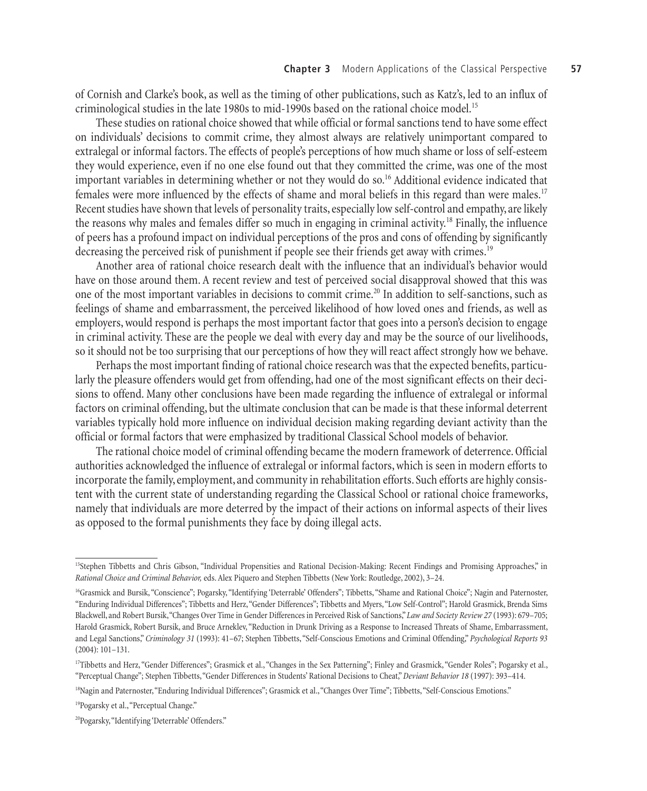of Cornish and Clarke's book, as well as the timing of other publications, such as Katz's, led to an influx of criminological studies in the late 1980s to mid-1990s based on the rational choice model.<sup>15</sup>

These studies on rational choice showed that while official or formal sanctions tend to have some effect on individuals' decisions to commit crime, they almost always are relatively unimportant compared to extralegal or informal factors. The effects of people's perceptions of how much shame or loss of self-esteem they would experience, even if no one else found out that they committed the crime, was one of the most important variables in determining whether or not they would do so.16 Additional evidence indicated that females were more influenced by the effects of shame and moral beliefs in this regard than were males.<sup>17</sup> Recent studies have shown that levels of personality traits, especially low self-control and empathy, are likely the reasons why males and females differ so much in engaging in criminal activity.<sup>18</sup> Finally, the influence of peers has a profound impact on individual perceptions of the pros and cons of offending by significantly decreasing the perceived risk of punishment if people see their friends get away with crimes.<sup>19</sup>

Another area of rational choice research dealt with the influence that an individual's behavior would have on those around them. A recent review and test of perceived social disapproval showed that this was one of the most important variables in decisions to commit crime.<sup>20</sup> In addition to self-sanctions, such as feelings of shame and embarrassment, the perceived likelihood of how loved ones and friends, as well as employers, would respond is perhaps the most important factor that goes into a person's decision to engage in criminal activity. These are the people we deal with every day and may be the source of our livelihoods, so it should not be too surprising that our perceptions of how they will react affect strongly how we behave.

Perhaps the most important finding of rational choice research was that the expected benefits, particularly the pleasure offenders would get from offending, had one of the most significant effects on their decisions to offend. Many other conclusions have been made regarding the influence of extralegal or informal factors on criminal offending, but the ultimate conclusion that can be made is that these informal deterrent variables typically hold more influence on individual decision making regarding deviant activity than the official or formal factors that were emphasized by traditional Classical School models of behavior.

The rational choice model of criminal offending became the modern framework of deterrence. Official authorities acknowledged the influence of extralegal or informal factors, which is seen in modern efforts to incorporate the family, employment, and community in rehabilitation efforts. Such efforts are highly consistent with the current state of understanding regarding the Classical School or rational choice frameworks, namely that individuals are more deterred by the impact of their actions on informal aspects of their lives as opposed to the formal punishments they face by doing illegal acts.

<sup>&</sup>lt;sup>15</sup>Stephen Tibbetts and Chris Gibson, "Individual Propensities and Rational Decision-Making: Recent Findings and Promising Approaches," in *Rational Choice and Criminal Behavior,* eds. Alex Piquero and Stephen Tibbetts (New York: Routledge, 2002), 3–24.

<sup>&</sup>lt;sup>16</sup>Grasmick and Bursik, "Conscience"; Pogarsky, "Identifying 'Deterrable' Offenders"; Tibbetts, "Shame and Rational Choice"; Nagin and Paternoster, "Enduring Individual Differences"; Tibbetts and Herz, "Gender Differences"; Tibbetts and Myers, "Low Self-Control"; Harold Grasmick, Brenda Sims Blackwell, and Robert Bursik, "Changes Over Time in Gender Differences in Perceived Risk of Sanctions," *Law and Society Review 27* (1993): 679–705; Harold Grasmick, Robert Bursik, and Bruce Arneklev, "Reduction in Drunk Driving as a Response to Increased Threats of Shame, Embarrassment, and Legal Sanctions," *Criminology 31* (1993): 41–67; Stephen Tibbetts, "Self-Conscious Emotions and Criminal Offending," *Psychological Reports 93* (2004): 101–131.

<sup>&</sup>lt;sup>17</sup>Tibbetts and Herz, "Gender Differences"; Grasmick et al., "Changes in the Sex Patterning"; Finley and Grasmick, "Gender Roles"; Pogarsky et al., "Perceptual Change"; Stephen Tibbetts, "Gender Differences in Students' Rational Decisions to Cheat," *Deviant Behavior 18* (1997): 393–414.

<sup>&</sup>lt;sup>18</sup>Nagin and Paternoster, "Enduring Individual Differences"; Grasmick et al., "Changes Over Time"; Tibbetts, "Self-Conscious Emotions."

<sup>&</sup>lt;sup>19</sup>Pogarsky et al., "Perceptual Change."

<sup>20</sup>Pogarsky, "Identifying 'Deterrable' Offenders."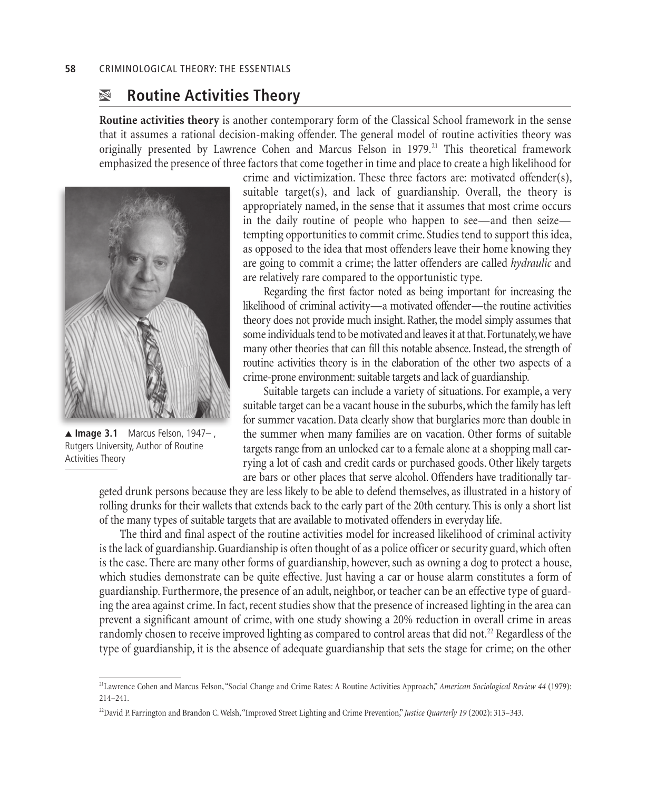#### y **Routine Activities Theory**

**Routine activities theory** is another contemporary form of the Classical School framework in the sense that it assumes a rational decision-making offender. The general model of routine activities theory was originally presented by Lawrence Cohen and Marcus Felson in 1979.<sup>21</sup> This theoretical framework emphasized the presence of three factors that come together in time and place to create a high likelihood for



▲ **Image 3.1** Marcus Felson, 1947–, Rutgers University, Author of Routine Activities Theory

crime and victimization. These three factors are: motivated offender(s), suitable target(s), and lack of guardianship. Overall, the theory is appropriately named, in the sense that it assumes that most crime occurs in the daily routine of people who happen to see—and then seize tempting opportunities to commit crime. Studies tend to support this idea, as opposed to the idea that most offenders leave their home knowing they are going to commit a crime; the latter offenders are called *hydraulic* and are relatively rare compared to the opportunistic type.

Regarding the first factor noted as being important for increasing the likelihood of criminal activity—a motivated offender—the routine activities theory does not provide much insight. Rather, the model simply assumes that some individuals tend to be motivated and leaves it at that. Fortunately, we have many other theories that can fill this notable absence. Instead, the strength of routine activities theory is in the elaboration of the other two aspects of a crime-prone environment: suitable targets and lack of guardianship.

Suitable targets can include a variety of situations. For example, a very suitable target can be a vacant house in the suburbs, which the family has left for summer vacation. Data clearly show that burglaries more than double in the summer when many families are on vacation. Other forms of suitable targets range from an unlocked car to a female alone at a shopping mall carrying a lot of cash and credit cards or purchased goods. Other likely targets are bars or other places that serve alcohol. Offenders have traditionally tar-

geted drunk persons because they are less likely to be able to defend themselves, as illustrated in a history of rolling drunks for their wallets that extends back to the early part of the 20th century. This is only a short list of the many types of suitable targets that are available to motivated offenders in everyday life.

The third and final aspect of the routine activities model for increased likelihood of criminal activity is the lack of guardianship. Guardianship is often thought of as a police officer or security guard, which often is the case. There are many other forms of guardianship, however, such as owning a dog to protect a house, which studies demonstrate can be quite effective. Just having a car or house alarm constitutes a form of guardianship. Furthermore, the presence of an adult, neighbor, or teacher can be an effective type of guarding the area against crime. In fact, recent studies show that the presence of increased lighting in the area can prevent a significant amount of crime, with one study showing a 20% reduction in overall crime in areas randomly chosen to receive improved lighting as compared to control areas that did not.<sup>22</sup> Regardless of the type of guardianship, it is the absence of adequate guardianship that sets the stage for crime; on the other

<sup>21</sup>Lawrence Cohen and Marcus Felson, "Social Change and Crime Rates: A Routine Activities Approach," *American Sociological Review 44* (1979): 214–241.

<sup>22</sup>David P. Farrington and Brandon C. Welsh, "Improved Street Lighting and Crime Prevention," *Justice Quarterly 19* (2002): 313–343.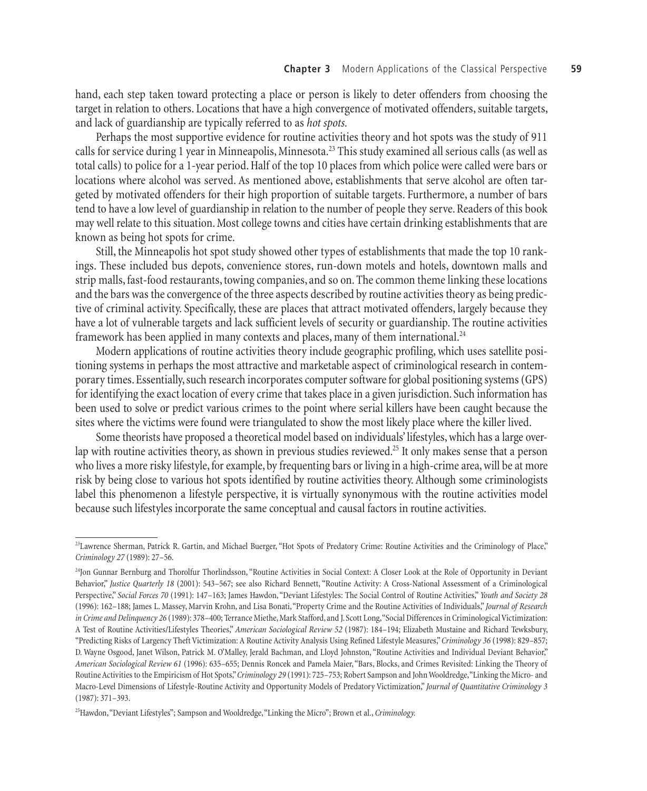hand, each step taken toward protecting a place or person is likely to deter offenders from choosing the target in relation to others. Locations that have a high convergence of motivated offenders, suitable targets, and lack of guardianship are typically referred to as *hot spots.*

Perhaps the most supportive evidence for routine activities theory and hot spots was the study of 911 calls for service during 1 year in Minneapolis, Minnesota.<sup>23</sup> This study examined all serious calls (as well as total calls) to police for a 1-year period. Half of the top 10 places from which police were called were bars or locations where alcohol was served. As mentioned above, establishments that serve alcohol are often targeted by motivated offenders for their high proportion of suitable targets. Furthermore, a number of bars tend to have a low level of guardianship in relation to the number of people they serve. Readers of this book may well relate to this situation. Most college towns and cities have certain drinking establishments that are known as being hot spots for crime.

Still, the Minneapolis hot spot study showed other types of establishments that made the top 10 rankings. These included bus depots, convenience stores, run-down motels and hotels, downtown malls and strip malls, fast-food restaurants, towing companies, and so on. The common theme linking these locations and the bars was the convergence of the three aspects described by routine activities theory as being predictive of criminal activity. Specifically, these are places that attract motivated offenders, largely because they have a lot of vulnerable targets and lack sufficient levels of security or guardianship. The routine activities framework has been applied in many contexts and places, many of them international.<sup>24</sup>

Modern applications of routine activities theory include geographic profiling, which uses satellite positioning systems in perhaps the most attractive and marketable aspect of criminological research in contemporary times. Essentially, such research incorporates computer software for global positioning systems (GPS) for identifying the exact location of every crime that takes place in a given jurisdiction. Such information has been used to solve or predict various crimes to the point where serial killers have been caught because the sites where the victims were found were triangulated to show the most likely place where the killer lived.

Some theorists have proposed a theoretical model based on individuals' lifestyles, which has a large overlap with routine activities theory, as shown in previous studies reviewed.25 It only makes sense that a person who lives a more risky lifestyle, for example, by frequenting bars or living in a high-crime area, will be at more risk by being close to various hot spots identified by routine activities theory. Although some criminologists label this phenomenon a lifestyle perspective, it is virtually synonymous with the routine activities model because such lifestyles incorporate the same conceptual and causal factors in routine activities.

<sup>&</sup>lt;sup>23</sup>Lawrence Sherman, Patrick R. Gartin, and Michael Buerger, "Hot Spots of Predatory Crime: Routine Activities and the Criminology of Place," *Criminology 27* (1989): 27–56.

<sup>&</sup>lt;sup>24</sup>Jon Gunnar Bernburg and Thorolfur Thorlindsson, "Routine Activities in Social Context: A Closer Look at the Role of Opportunity in Deviant Behavior," *Justice Quarterly 18* (2001): 543-567; see also Richard Bennett, "Routine Activity: A Cross-National Assessment of a Criminological Perspective," *Social Forces 70* (1991): 147–163; James Hawdon, "Deviant Lifestyles: The Social Control of Routine Activities," *Youth and Society 28* (1996): 162–188; James L. Massey, Marvin Krohn, and Lisa Bonati, "Property Crime and the Routine Activities of Individuals," *Journal of Research in Crime and Delinquency 26* (1989): 378–400; Terrance Miethe, Mark Stafford, and J. Scott Long, "Social Differences in Criminological Victimization: A Test of Routine Activities/Lifestyles Theories," *American Sociological Review 52* (1987): 184–194; Elizabeth Mustaine and Richard Tewksbury, "Predicting Risks of Largency Theft Victimization: A Routine Activity Analysis Using Refined Lifestyle Measures," *Criminology 36* (1998): 829–857; D. Wayne Osgood, Janet Wilson, Patrick M. O'Malley, Jerald Bachman, and Lloyd Johnston, "Routine Activities and Individual Deviant Behavior," *American Sociological Review 61* (1996): 635–655; Dennis Roncek and Pamela Maier, "Bars, Blocks, and Crimes Revisited: Linking the Theory of Routine Activities to the Empiricism of Hot Spots," *Criminology 29* (1991): 725–753; Robert Sampson and John Wooldredge, "Linking the Micro- and Macro-Level Dimensions of Lifestyle-Routine Activity and Opportunity Models of Predatory Victimization," *Journal of Quantitative Criminology 3* (1987): 371–393.

<sup>25</sup>Hawdon, "Deviant Lifestyles"; Sampson and Wooldredge, "Linking the Micro"; Brown et al., *Criminology.*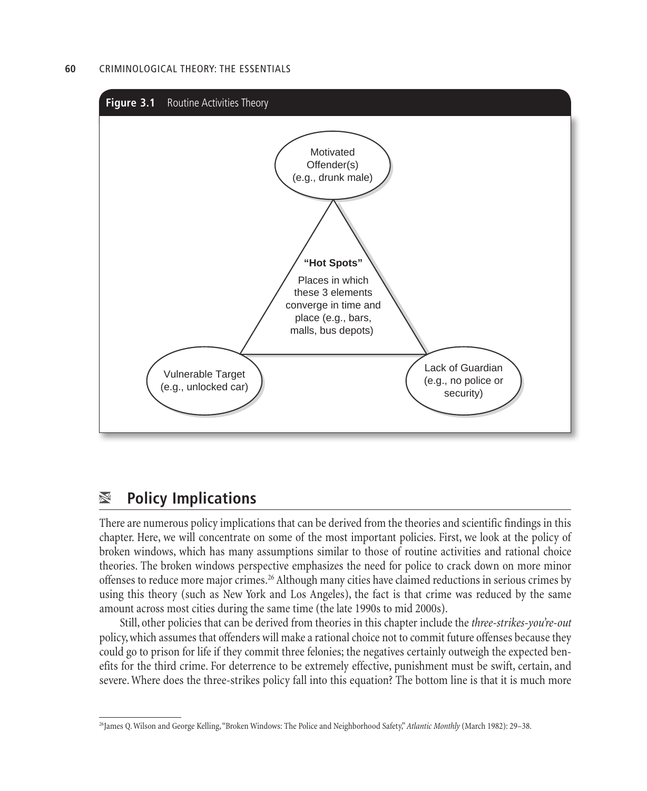

# y **Policy Implications**

There are numerous policy implications that can be derived from the theories and scientific findings in this chapter. Here, we will concentrate on some of the most important policies. First, we look at the policy of broken windows, which has many assumptions similar to those of routine activities and rational choice theories. The broken windows perspective emphasizes the need for police to crack down on more minor offenses to reduce more major crimes.<sup>26</sup> Although many cities have claimed reductions in serious crimes by using this theory (such as New York and Los Angeles), the fact is that crime was reduced by the same amount across most cities during the same time (the late 1990s to mid 2000s).

Still, other policies that can be derived from theories in this chapter include the *three-strikes-you're-out*  policy, which assumes that offenders will make a rational choice not to commit future offenses because they could go to prison for life if they commit three felonies; the negatives certainly outweigh the expected benefits for the third crime. For deterrence to be extremely effective, punishment must be swift, certain, and severe. Where does the three-strikes policy fall into this equation? The bottom line is that it is much more

<sup>26</sup>James Q. Wilson and George Kelling, "Broken Windows: The Police and Neighborhood Safety," *Atlantic Monthly* (March 1982): 29–38.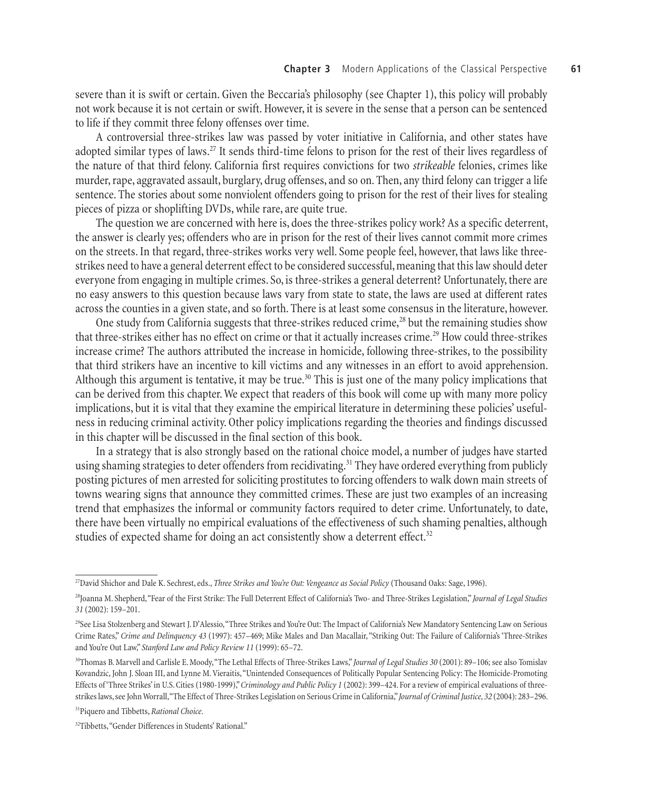severe than it is swift or certain. Given the Beccaria's philosophy (see Chapter 1), this policy will probably not work because it is not certain or swift. However, it is severe in the sense that a person can be sentenced to life if they commit three felony offenses over time.

A controversial three-strikes law was passed by voter initiative in California, and other states have adopted similar types of laws.<sup>27</sup> It sends third-time felons to prison for the rest of their lives regardless of the nature of that third felony. California first requires convictions for two *strikeable* felonies, crimes like murder, rape, aggravated assault, burglary, drug offenses, and so on. Then, any third felony can trigger a life sentence. The stories about some nonviolent offenders going to prison for the rest of their lives for stealing pieces of pizza or shoplifting DVDs, while rare, are quite true.

The question we are concerned with here is, does the three-strikes policy work? As a specific deterrent, the answer is clearly yes; offenders who are in prison for the rest of their lives cannot commit more crimes on the streets. In that regard, three-strikes works very well. Some people feel, however, that laws like threestrikes need to have a general deterrent effect to be considered successful, meaning that this law should deter everyone from engaging in multiple crimes. So, is three-strikes a general deterrent? Unfortunately, there are no easy answers to this question because laws vary from state to state, the laws are used at different rates across the counties in a given state, and so forth. There is at least some consensus in the literature, however.

One study from California suggests that three-strikes reduced crime, $28$  but the remaining studies show that three-strikes either has no effect on crime or that it actually increases crime.<sup>29</sup> How could three-strikes increase crime? The authors attributed the increase in homicide, following three-strikes, to the possibility that third strikers have an incentive to kill victims and any witnesses in an effort to avoid apprehension. Although this argument is tentative, it may be true.<sup>30</sup> This is just one of the many policy implications that can be derived from this chapter. We expect that readers of this book will come up with many more policy implications, but it is vital that they examine the empirical literature in determining these policies' usefulness in reducing criminal activity. Other policy implications regarding the theories and findings discussed in this chapter will be discussed in the final section of this book.

In a strategy that is also strongly based on the rational choice model, a number of judges have started using shaming strategies to deter offenders from recidivating.<sup>31</sup> They have ordered everything from publicly posting pictures of men arrested for soliciting prostitutes to forcing offenders to walk down main streets of towns wearing signs that announce they committed crimes. These are just two examples of an increasing trend that emphasizes the informal or community factors required to deter crime. Unfortunately, to date, there have been virtually no empirical evaluations of the effectiveness of such shaming penalties, although studies of expected shame for doing an act consistently show a deterrent effect.<sup>32</sup>

<sup>27</sup>David Shichor and Dale K. Sechrest, eds., *Three Strikes and You're Out: Vengeance as Social Policy* (Thousand Oaks: Sage, 1996).

<sup>28</sup>Joanna M. Shepherd, "Fear of the First Strike: The Full Deterrent Effect of California's Two- and Three-Strikes Legislation," *Journal of Legal Studies 31* (2002): 159–201.

<sup>&</sup>lt;sup>29</sup>See Lisa Stolzenberg and Stewart J. D'Alessio, "Three Strikes and You're Out: The Impact of California's New Mandatory Sentencing Law on Serious Crime Rates," *Crime and Delinquency 43* (1997): 457–469; Mike Males and Dan Macallair, "Striking Out: The Failure of California's 'Three-Strikes and You're Out Law," *Stanford Law and Policy Review 11* (1999): 65–72.

<sup>30</sup>Thomas B. Marvell and Carlisle E. Moody, "The Lethal Effects of Three-Strikes Laws," *Journal of Legal Studies 30* (2001): 89–106; see also Tomislav Kovandzic, John J. Sloan III, and Lynne M. Vieraitis, "Unintended Consequences of Politically Popular Sentencing Policy: The Homicide-Promoting Effects of 'Three Strikes' in U.S. Cities (1980-1999)," *Criminology and Public Policy 1* (2002): 399–424. For a review of empirical evaluations of threestrikes laws, see John Worrall, "The Effect of Three-Strikes Legislation on Serious Crime in California," *Journal of Criminal Justice, 32* (2004): 283–296.

<sup>31</sup>Piquero and Tibbetts, *Rational Choice*.

<sup>&</sup>lt;sup>32</sup>Tibbetts, "Gender Differences in Students' Rational."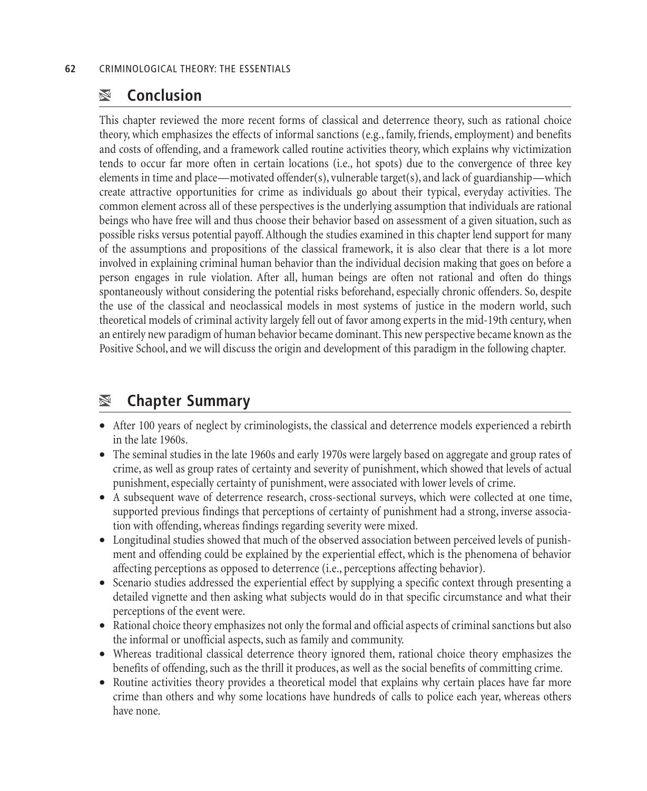## y **Conclusion**

This chapter reviewed the more recent forms of classical and deterrence theory, such as rational choice theory, which emphasizes the effects of informal sanctions (e.g., family, friends, employment) and benefits and costs of offending, and a framework called routine activities theory, which explains why victimization tends to occur far more often in certain locations (i.e., hot spots) due to the convergence of three key elements in time and place—motivated offender(s), vulnerable target(s), and lack of guardianship—which create attractive opportunities for crime as individuals go about their typical, everyday activities. The common element across all of these perspectives is the underlying assumption that individuals are rational beings who have free will and thus choose their behavior based on assessment of a given situation, such as possible risks versus potential payoff. Although the studies examined in this chapter lend support for many of the assumptions and propositions of the classical framework, it is also clear that there is a lot more involved in explaining criminal human behavior than the individual decision making that goes on before a person engages in rule violation. After all, human beings are often not rational and often do things spontaneously without considering the potential risks beforehand, especially chronic offenders. So, despite the use of the classical and neoclassical models in most systems of justice in the modern world, such theoretical models of criminal activity largely fell out of favor among experts in the mid-19th century, when an entirely new paradigm of human behavior became dominant. This new perspective became known as the Positive School, and we will discuss the origin and development of this paradigm in the following chapter.

# y **Chapter Summary**

- After 100 years of neglect by criminologists, the classical and deterrence models experienced a rebirth in the late 1960s.
- The seminal studies in the late 1960s and early 1970s were largely based on aggregate and group rates of crime, as well as group rates of certainty and severity of punishment, which showed that levels of actual punishment, especially certainty of punishment, were associated with lower levels of crime.
- A subsequent wave of deterrence research, cross-sectional surveys, which were collected at one time, supported previous findings that perceptions of certainty of punishment had a strong, inverse association with offending, whereas findings regarding severity were mixed.
- Longitudinal studies showed that much of the observed association between perceived levels of punishment and offending could be explained by the experiential effect, which is the phenomena of behavior affecting perceptions as opposed to deterrence (i.e., perceptions affecting behavior).
- Scenario studies addressed the experiential effect by supplying a specific context through presenting a detailed vignette and then asking what subjects would do in that specific circumstance and what their perceptions of the event were.
- •• Rational choice theory emphasizes not only the formal and official aspects of criminal sanctions but also the informal or unofficial aspects, such as family and community.
- Whereas traditional classical deterrence theory ignored them, rational choice theory emphasizes the benefits of offending, such as the thrill it produces, as well as the social benefits of committing crime.
- Routine activities theory provides a theoretical model that explains why certain places have far more crime than others and why some locations have hundreds of calls to police each year, whereas others have none.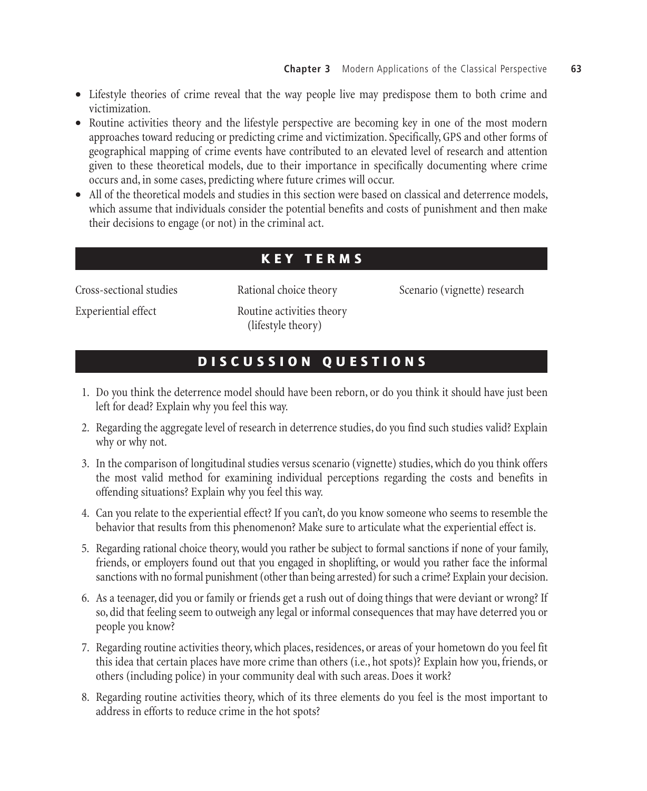- Lifestyle theories of crime reveal that the way people live may predispose them to both crime and victimization.
- Routine activities theory and the lifestyle perspective are becoming key in one of the most modern approaches toward reducing or predicting crime and victimization. Specifically, GPS and other forms of geographical mapping of crime events have contributed to an elevated level of research and attention given to these theoretical models, due to their importance in specifically documenting where crime occurs and, in some cases, predicting where future crimes will occur.
- All of the theoretical models and studies in this section were based on classical and deterrence models, which assume that individuals consider the potential benefits and costs of punishment and then make their decisions to engage (or not) in the criminal act.

#### KEY TERMS

Cross-sectional studies

Rational choice theory

Scenario (vignette) research

Experiential effect

Routine activities theory (lifestyle theory)

#### DISCUSSION QUESTIONS

- 1. Do you think the deterrence model should have been reborn, or do you think it should have just been left for dead? Explain why you feel this way.
- 2. Regarding the aggregate level of research in deterrence studies, do you find such studies valid? Explain why or why not.
- 3. In the comparison of longitudinal studies versus scenario (vignette) studies, which do you think offers the most valid method for examining individual perceptions regarding the costs and benefits in offending situations? Explain why you feel this way.
- 4. Can you relate to the experiential effect? If you can't, do you know someone who seems to resemble the behavior that results from this phenomenon? Make sure to articulate what the experiential effect is.
- 5. Regarding rational choice theory, would you rather be subject to formal sanctions if none of your family, friends, or employers found out that you engaged in shoplifting, or would you rather face the informal sanctions with no formal punishment (other than being arrested) for such a crime? Explain your decision.
- 6. As a teenager, did you or family or friends get a rush out of doing things that were deviant or wrong? If so, did that feeling seem to outweigh any legal or informal consequences that may have deterred you or people you know?
- 7. Regarding routine activities theory, which places, residences, or areas of your hometown do you feel fit this idea that certain places have more crime than others (i.e., hot spots)? Explain how you, friends, or others (including police) in your community deal with such areas. Does it work?
- 8. Regarding routine activities theory, which of its three elements do you feel is the most important to address in efforts to reduce crime in the hot spots?